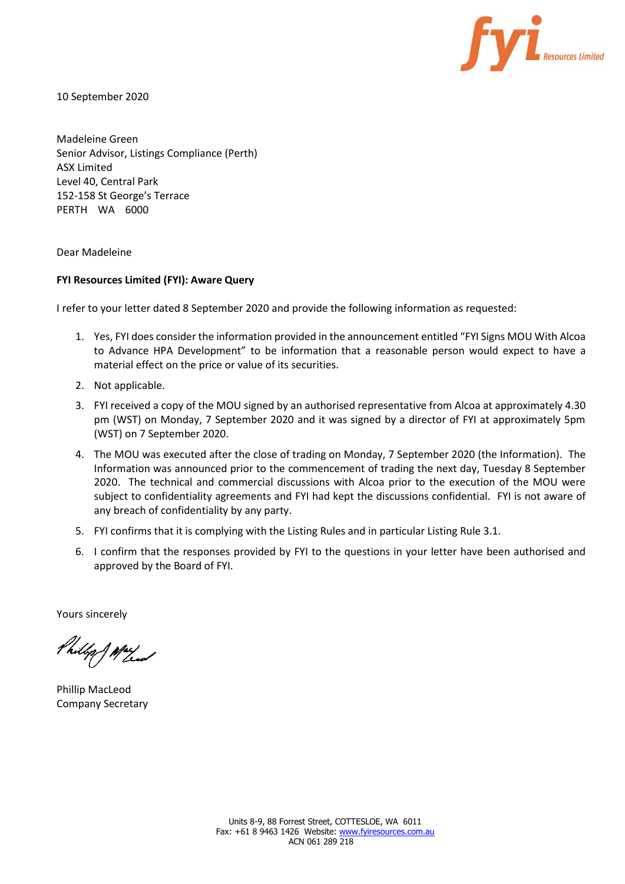

10 September 2020

Madeleine Green Senior Advisor, Listings Compliance (Perth) ASX Limited Level 40, Central Park 152-158 St George's Terrace PERTH WA 6000

Dear Madeleine

# **FYI Resources Limited (FYI): Aware Query**

I refer to your letter dated 8 September 2020 and provide the following information as requested:

- 1. Yes, FYI does consider the information provided in the announcement entitled "FYI Signs MOU With Alcoa to Advance HPA Development" to be information that a reasonable person would expect to have a material effect on the price or value of its securities.
- 2. Not applicable.
- 3. FYI received a copy of the MOU signed by an authorised representative from Alcoa at approximately 4.30 pm (WST) on Monday, 7 September 2020 and it was signed by a director of FYI at approximately 5pm (WST) on 7 September 2020.
- 4. The MOU was executed after the close of trading on Monday, 7 September 2020 (the Information). The Information was announced prior to the commencement of trading the next day, Tuesday 8 September 2020. The technical and commercial discussions with Alcoa prior to the execution of the MOU were subject to confidentiality agreements and FYI had kept the discussions confidential. FYI is not aware of any breach of confidentiality by any party.
- 5. FYI confirms that it is complying with the Listing Rules and in particular Listing Rule 3.1.
- 6. I confirm that the responses provided by FYI to the questions in your letter have been authorised and approved by the Board of FYI.

Yours sincerely

Philip J May

Phillip MacLeod Company Secretary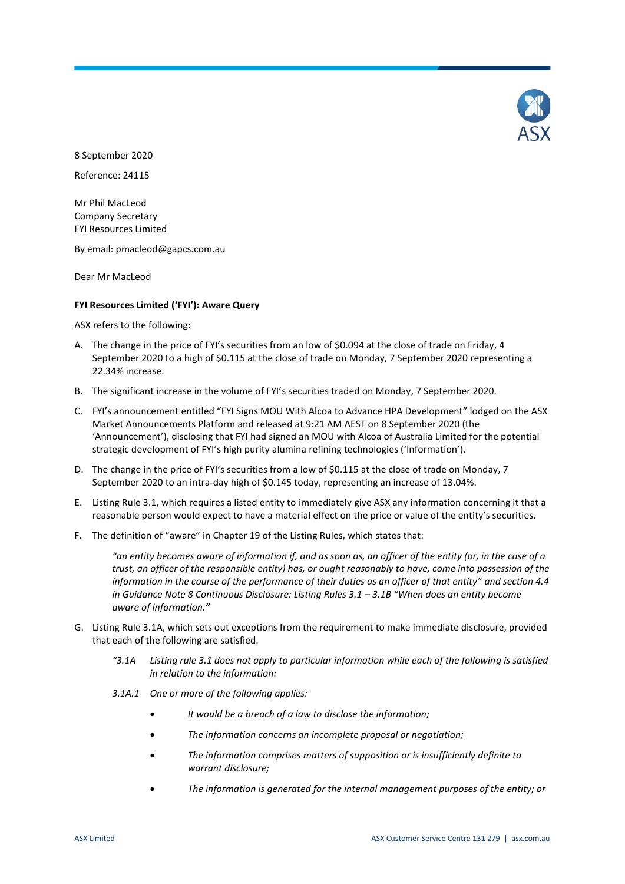

8 September 2020

Reference: 24115

Mr Phil MacLeod Company Secretary FYI Resources Limited

By email: pmacleod@gapcs.com.au

Dear Mr MacLeod

## **FYI Resources Limited ('FYI'): Aware Query**

ASX refers to the following:

- A. The change in the price of FYI's securities from an low of \$0.094 at the close of trade on Friday, 4 September 2020 to a high of \$0.115 at the close of trade on Monday, 7 September 2020 representing a 22.34% increase.
- B. The significant increase in the volume of FYI's securities traded on Monday, 7 September 2020.
- C. FYI's announcement entitled "FYI Signs MOU With Alcoa to Advance HPA Development" lodged on the ASX Market Announcements Platform and released at 9:21 AM AEST on 8 September 2020 (the 'Announcement'), disclosing that FYI had signed an MOU with Alcoa of Australia Limited for the potential strategic development of FYI's high purity alumina refining technologies ('Information').
- D. The change in the price of FYI's securities from a low of \$0.115 at the close of trade on Monday, 7 September 2020 to an intra-day high of \$0.145 today, representing an increase of 13.04%.
- E. Listing Rule 3.1, which requires a listed entity to immediately give ASX any information concerning it that a reasonable person would expect to have a material effect on the price or value of the entity's securities.
- F. The definition of "aware" in Chapter 19 of the Listing Rules, which states that:

*"an entity becomes aware of information if, and as soon as, an officer of the entity (or, in the case of a trust, an officer of the responsible entity) has, or ought reasonably to have, come into possession of the information in the course of the performance of their duties as an officer of that entity" and section 4.4 in Guidance Note 8 Continuous Disclosure: Listing Rules 3.1 - 3.1B "When does an entity become aware of information."*

- G. Listing Rule 3.1A, which sets out exceptions from the requirement to make immediate disclosure, provided that each of the following are satisfied.
	- *"3.1A Listing rule 3.1 does not apply to particular information while each of the following is satisfied in relation to the information:*
	- *3.1A.1 One or more of the following applies:*
		- *It would be a breach of a law to disclose the information;*
		- *The information concerns an incomplete proposal or negotiation;*
		- *The information comprises matters of supposition or is insufficiently definite to warrant disclosure;*
		- *The information is generated for the internal management purposes of the entity; or*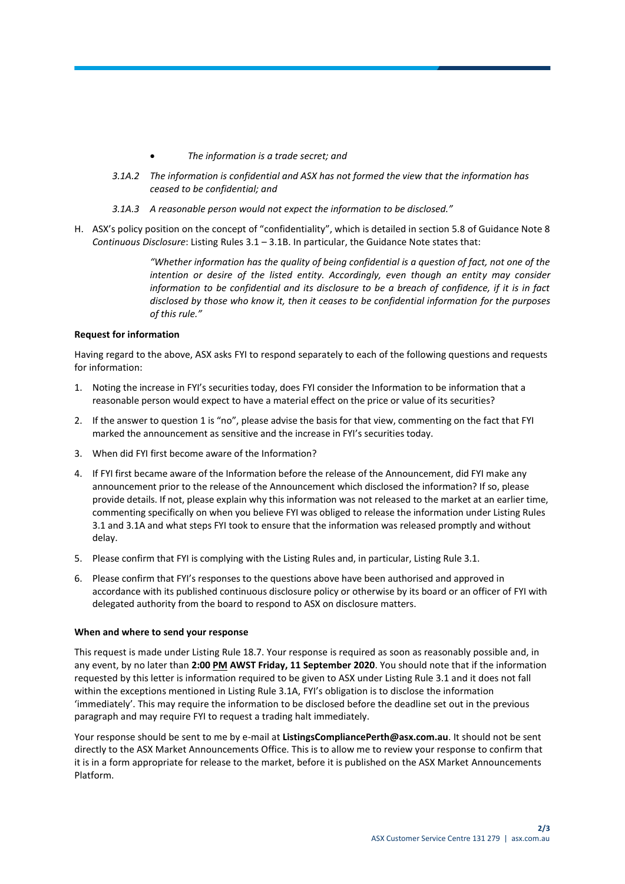- *The information is a trade secret; and*
- *3.1A.2 The information is confidential and ASX has not formed the view that the information has ceased to be confidential; and*
- *3.1A.3 A reasonable person would not expect the information to be disclosed."*
- H. ASX's policy position on the concept of "confidentiality", which is detailed in section 5.8 of Guidance Note 8 *Continuous Disclosure*: Listing Rules 3.1 – 3.1B. In particular, the Guidance Note states that:

*"Whether information has the quality of being confidential is a question of fact, not one of the intention or desire of the listed entity. Accordingly, even though an entity may consider information to be confidential and its disclosure to be a breach of confidence, if it is in fact disclosed by those who know it, then it ceases to be confidential information for the purposes of this rule."*

## **Request for information**

Having regard to the above, ASX asks FYI to respond separately to each of the following questions and requests for information:

- 1. Noting the increase in FYI's securities today, does FYI consider the Information to be information that a reasonable person would expect to have a material effect on the price or value of its securities?
- 2. If the answer to question 1 is "no", please advise the basis for that view, commenting on the fact that FYI marked the announcement as sensitive and the increase in FYI's securities today.
- 3. When did FYI first become aware of the Information?
- 4. If FYI first became aware of the Information before the release of the Announcement, did FYI make any announcement prior to the release of the Announcement which disclosed the information? If so, please provide details. If not, please explain why this information was not released to the market at an earlier time, commenting specifically on when you believe FYI was obliged to release the information under Listing Rules 3.1 and 3.1A and what steps FYI took to ensure that the information was released promptly and without delay.
- 5. Please confirm that FYI is complying with the Listing Rules and, in particular, Listing Rule 3.1.
- 6. Please confirm that FYI's responses to the questions above have been authorised and approved in accordance with its published continuous disclosure policy or otherwise by its board or an officer of FYI with delegated authority from the board to respond to ASX on disclosure matters.

## **When and where to send your response**

This request is made under Listing Rule 18.7. Your response is required as soon as reasonably possible and, in any event, by no later than **2:00 PM AWST Friday, 11 September 2020**. You should note that if the information requested by this letter is information required to be given to ASX under Listing Rule 3.1 and it does not fall within the exceptions mentioned in Listing Rule 3.1A, FYI's obligation is to disclose the information 'immediately'. This may require the information to be disclosed before the deadline set out in the previous paragraph and may require FYI to request a trading halt immediately.

Your response should be sent to me by e-mail at **ListingsCompliancePerth@asx.com.au**. It should not be sent directly to the ASX Market Announcements Office. This is to allow me to review your response to confirm that it is in a form appropriate for release to the market, before it is published on the ASX Market Announcements Platform.